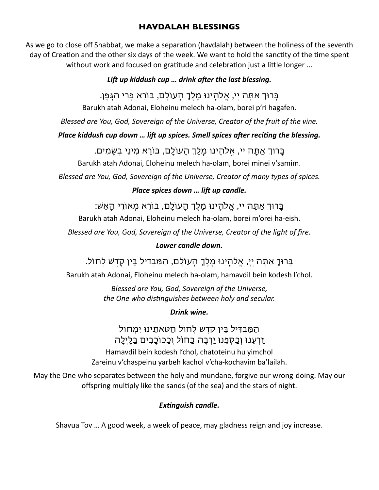### **HAVDALAH BLESSINGS**

As we go to close off Shabbat, we make a separation (havdalah) between the holiness of the seventh day of Creation and the other six days of the week. We want to hold the sanctity of the time spent without work and focused on gratitude and celebration just a little longer ...

#### *Lift up kiddush cup … drink after the last blessing.*

בָרוְ אַתָה יְי, אֱלהֵֽינו מֶֽלְֶ הָעולָם, בורא פְרי הַגָפֶן.

Barukh atah Adonai, Eloheinu melech ha-olam, borei p'ri hagafen.

*Blessed are You, God, Sovereign of the Universe, Creator of the fruit of the vine.*

*Place kiddush cup down … lift up spices. Smell spices after reciting the blessing.*

בָרוְ אַתָה יי, אֱלהֵֽינו מֶֽלְֶ הָעולָם, בורא מִינֵי בְשָמִים.

Barukh atah Adonai, Eloheinu melech ha-olam, borei minei v'samim.

*Blessed are You, God, Sovereign of the Universe, Creator of many types of spices.*

# *Place spices down … lift up candle.*

בָרוְ אַתָה יי, אֱלהֵֽינו מֶֽלְֶ הָעולָם, בורא מְאורי הָאֵש:

Barukh atah Adonai, Eloheinu melech ha-olam, borei m'orei ha-eish.

*Blessed are You, God, Sovereign of the Universe, Creator of the light of fire.*

# *Lower candle down.*

בָרוְ אַתָה יְי,ָ אֱלהֵֽינו מֶֽלְֶ הָעולָם, הַמַבְדיל בֵין קֽדש לְחול.

Barukh atah Adonai, Eloheinu melech ha-olam, hamavdil bein kodesh l'chol.

*Blessed are You, God, Sovereign of the Universe, the One who distinguishes between holy and secular.*

*Drink wine.*

הַמַבְדִיל בֵין קדש לְחול חַטֹאתֵינו יִמְחול זַרעֵנו וְכַסְפֵנו יַרבֶה כַחול וְכַכוכָבִים בַלָיְלָה

Hamavdil bein kodesh l'chol, chatoteinu hu yimchol Zareinu v'chaspeinu yarbeh kachol v'cha-kochavim ba'lailah.

May the One who separates between the holy and mundane, forgive our wrong-doing. May our offspring multiply like the sands (of the sea) and the stars of night.

# *Extinguish candle.*

Shavua Tov … A good week, a week of peace, may gladness reign and joy increase.